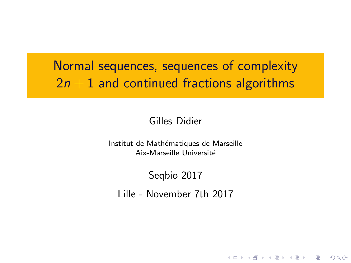Normal sequences, sequences of complexity  $2n + 1$  and continued fractions algorithms

### Gilles Didier

Institut de Mathématiques de Marseille Aix-Marseille Université

### Seqbio 2017

Lille - November 7th 2017

**YO A REPART AND A REPAIR**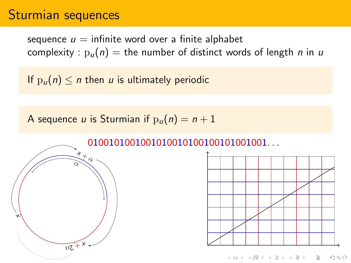### Sturmian sequences

sequence  $u =$  infinite word over a finite alphabet complexity :  $p_u(n) =$  the number of distinct words of length *n* in *u* 

If  $p_u(n) \leq n$  then u is ultimately periodic

A sequence u is Sturmian if  $p_u(n) = n + 1$ 

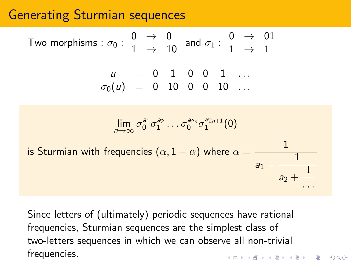## Generating Sturmian sequences

Two morphisms: 
$$
\sigma_0
$$
:  $\begin{array}{ccc}\n0 & \rightarrow & 0 \\
1 & \rightarrow & 10\n\end{array}$  and  $\sigma_1$ :  $\begin{array}{ccc}\n0 & \rightarrow & 01 \\
1 & \rightarrow & 1\n\end{array}$   
\n $u = 0 \quad 1 \quad 0 \quad 0 \quad 1 \quad ...$   
\n $\sigma_0(u) = 0 \quad 10 \quad 0 \quad 0 \quad 10 \quad ...$   
\n
$$
\lim_{n \to \infty} \sigma_0^{a_1} \sigma_1^{a_2} \dots \sigma_0^{a_{2n}} \sigma_1^{a_{2n+1}}(0)
$$
\nis Sturmian with frequencies (a, 1, 1, 2) where  $a = \begin{array}{ccc}\n1 & 1 & 1 \\
1 & 1 & 1 \\
1 & 1 & 1\n\end{array}$ 

is Sturmian with frequencies  $(\alpha, 1 - \alpha)$  where  $\alpha =$  $a_1 +$ 1  $a<sub>2</sub> -$ 1 *. . .*

Since letters of (ultimately) periodic sequences have rational frequencies, Sturmian sequences are the simplest class of two-letters sequences in which we can observe all non-trivial frequencies. $(1, 1, 2)$  ,  $(1, 1, 1, 1)$  ,  $(1, 1, 1, 1, 1, 1)$ 

 $\bar{\Xi}$ 

 $2990$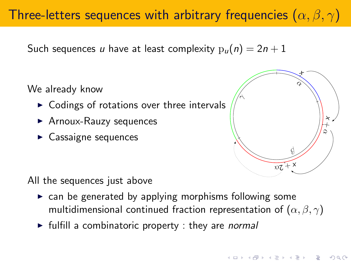# Three-letters sequences with arbitrary frequencies (*α, β, γ*)

Such sequences u have at least complexity  $p_u(n) = 2n + 1$ 

We already know

- $\triangleright$  Codings of rotations over three intervals
- $\blacktriangleright$  Arnoux-Rauzy sequences
- $\blacktriangleright$  Cassaigne sequences



All the sequences just above

- $\triangleright$  can be generated by applying morphisms following some multidimensional continued fraction representation of (*α, β, γ*)
- $\triangleright$  fulfill a combinatoric property : they are *normal*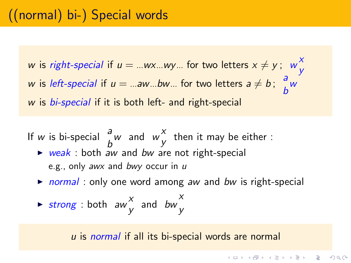w is right-special if  $u = ...$ wx…wy… for two letters  $x \neq y$ ; w $\rightarrow y$ x w is *left-special* if  $u = ...aw...bw...$  for two letters  $a \neq b$ ;  $\begin{bmatrix} a \\ b \end{bmatrix}$ w a w is *bi-special* if it is both left- and right-special

- If  $w$  is bi-special  $\int_a^b w$  $\begin{array}{cc} a & \text{and} & w \ y & \end{array}$  $\chi$  then it may be either :  $\triangleright$  weak : both aw and bw are not right-special
	- e.g., only awx and bwy occur in u
	- $\triangleright$  normal: only one word among aw and bw is right-special

$$
\triangleright \text{ strong : both } aw^X_{y} \text{ and } bw^X_{y}
$$

u is normal if all its bi-special words are normal

 $\mathbf{E} = \mathbf{A} \oplus \mathbf{B} + \mathbf{A} \oplus \mathbf{B} + \mathbf{A} \oplus \mathbf{B} + \mathbf{A} \oplus \mathbf{B} + \mathbf{A} \oplus \mathbf{A}$ 

 $2990$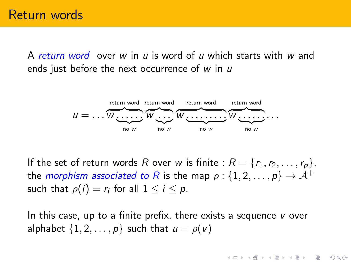A return word over w in u is word of u which starts with w and ends just before the next occurrence of  $w$  in  $u$ 



If the set of return words R over w is finite :  $R = \{r_1, r_2, \ldots, r_p\}$ , the *morphism associated to R* is the map  $\rho$  :  $\{1, 2, ..., p\}$   $\rightarrow$   $A^+$ such that  $\rho(i) = r_i$  for all  $1 \leq i \leq p$ .

In this case, up to a finite prefix, there exists a sequence v over alphabet  $\{1, 2, \ldots, p\}$  such that  $u = \rho(v)$ 

**KORKARA REPASA DA VOCA**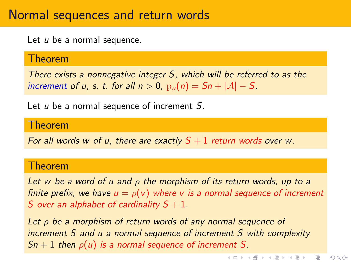### Normal sequences and return words

Let  $u$  be a normal sequence.

#### Theorem

There exists a nonnegative integer S, which will be referred to as the increment of u, s. t. for all  $n > 0$ ,  $p_u(n) = Sn + |\mathcal{A}| - S$ .

Let  $u$  be a normal sequence of increment  $S$ .

#### Theorem

For all words w of u, there are exactly  $S + 1$  return words over w.

#### Theorem

Let w be a word of u and *ρ* the morphism of its return words, up to a finite prefix, we have  $u = \rho(v)$  where v is a normal sequence of increment S over an alphabet of cardinality  $S + 1$ .

Let *ρ* be a morphism of return words of any normal sequence of increment S and u a normal sequence of increment S with complexity  $Sn + 1$  then  $\rho(u)$  is a normal sequence of increment S.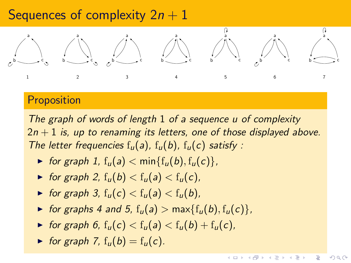### Sequences of complexity  $2n + 1$



### **Proposition**

The graph of words of length 1 of a sequence u of complexity  $2n + 1$  is, up to renaming its letters, one of those displayed above. The letter frequencies  $f_u(a)$ ,  $f_u(b)$ ,  $f_u(c)$  satisfy :

- $\triangleright$  for graph 1,  $f_u(a) < min{f_u(b), f_u(c)}$ ,
- $\triangleright$  for graph 2,  $f_u(b) < f_u(a) < f_u(c)$ ,
- $\triangleright$  for graph 3,  $f_u(c) < f_u(a) < f_u(b)$ ,
- $\triangleright$  for graphs 4 and 5,  $f_u(a) > max{f_u(b), f_u(c)}$ ,
- $\triangleright$  for graph 6,  $f_u(c) < f_u(a) < f_u(b) + f_u(c)$ ,
- $\blacktriangleright$  for graph 7,  $f_u(b) = f_u(c)$ .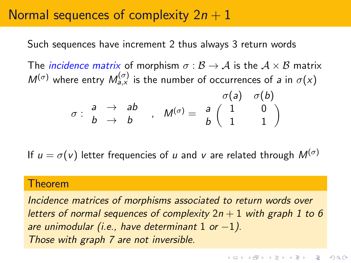## Normal sequences of complexity  $2n + 1$

Such sequences have increment 2 thus always 3 return words

The *incidence matrix* of morphism  $\sigma : \mathcal{B} \to \mathcal{A}$  is the  $\mathcal{A} \times \mathcal{B}$  matrix  $M^{(\sigma)}$  where entry  $M^{(\sigma)}_{a,x}$  is the number of occurrences of a in  $\sigma(x)$ 

$$
\sigma: \begin{array}{ccc} a & \to & ab \\ b & \to & b \end{array}, \quad M^{(\sigma)} = \begin{array}{ccc} & \sigma(a) & \sigma(b) \\ a & 1 & 0 \\ b & 1 & 1 \end{array}
$$

If  $u = \sigma(v)$  letter frequencies of u and v are related through  $M^{(\sigma)}$ 

#### Theorem

Incidence matrices of morphisms associated to return words over letters of normal sequences of complexity  $2n + 1$  with graph 1 to 6 are unimodular (i.e., have determinant  $1$  or  $-1$ ). Those with graph 7 are not inversible.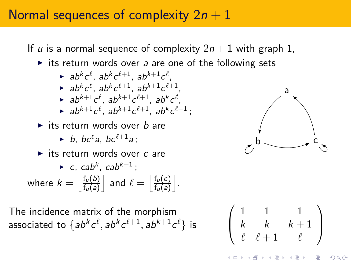## Normal sequences of complexity  $2n + 1$

If u is a normal sequence of complexity  $2n + 1$  with graph 1,  $\triangleright$  its return words over a are one of the following sets  $\blacktriangleright$  ab<sup>k</sup>c<sup>l</sup>, ab<sup>k+1</sup>c<sup>l</sup>,  $\blacktriangleright$  ab<sup>k</sup>c<sup>l+1</sup>, ab<sup>k+1</sup>c<sup>l+1</sup>,  $\blacktriangleright$  ab<sup>k+1</sup>c<sup>l+1</sup>c<sup>l+1</sup>, ab<sup>k</sup>c<sup>l</sup>,  $\blacktriangleright$  ab<sup>k+1</sup>c<sup>l+1</sup>, ab<sup>k</sup>c<sup>l+1</sup>; its return words over  $b$  are  $\blacktriangleright$  b, bc<sup>l</sup>a, bc<sup>l+1</sup>a;  $\blacktriangleright$  its return words over c are  $\blacktriangleright$  c, cab<sup>k</sup>, cab<sup>k+1</sup>; where  $k = \left| \frac{f_u(b)}{f_u(a)} \right|$  $\mathrm{f}_u(\mathsf{a})$ and  $\ell = \left| \frac{f_u(c)}{f_u(a)} \right|$  $\mathrm{f}_u(\mathsf{a})$ k . a  $b \sim$  r  $\sqrt{ }$ 1 1 1  $\setminus$ 

 $\overline{ }$ 

k  $k$   $k+1$  $\ell$   $\ell + 1$   $\ell$ 

イロト イ押ト イヨト イヨト

 $\Big\}$ 

The incidence matrix of the morphism associated to  $\{ab^{k}c^{\ell}, ab^{k}c^{\ell+1}, ab^{k+1}c^{\ell}\}$  is